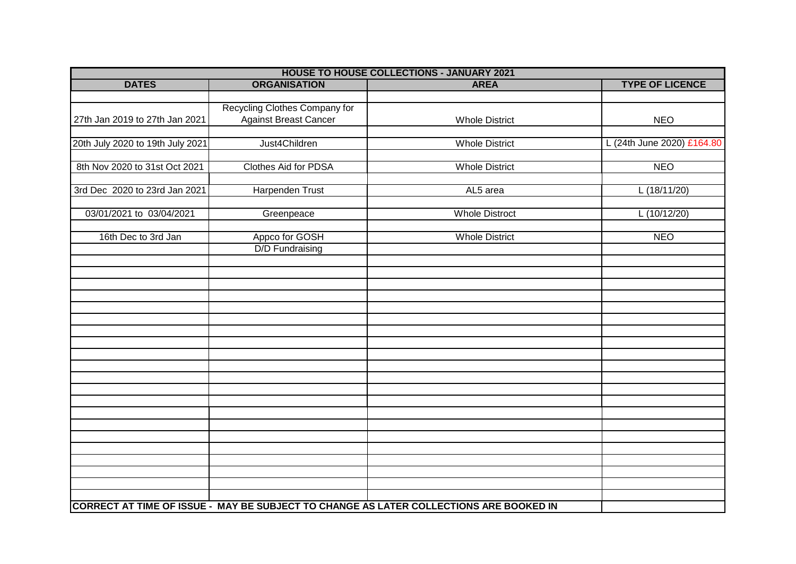| <b>HOUSE TO HOUSE COLLECTIONS - JANUARY 2021</b> |                               |                                                                                        |                            |  |
|--------------------------------------------------|-------------------------------|----------------------------------------------------------------------------------------|----------------------------|--|
| <b>DATES</b>                                     | <b>ORGANISATION</b>           | <b>AREA</b>                                                                            | <b>TYPE OF LICENCE</b>     |  |
|                                                  |                               |                                                                                        |                            |  |
|                                                  | Recycling Clothes Company for |                                                                                        |                            |  |
| 27th Jan 2019 to 27th Jan 2021                   | <b>Against Breast Cancer</b>  | <b>Whole District</b>                                                                  | <b>NEO</b>                 |  |
|                                                  |                               |                                                                                        |                            |  |
| 20th July 2020 to 19th July 2021                 | Just4Children                 | <b>Whole District</b>                                                                  | L (24th June 2020) £164.80 |  |
|                                                  |                               |                                                                                        |                            |  |
| 8th Nov 2020 to 31st Oct 2021                    | Clothes Aid for PDSA          | <b>Whole District</b>                                                                  | <b>NEO</b>                 |  |
|                                                  |                               |                                                                                        |                            |  |
| 3rd Dec 2020 to 23rd Jan 2021                    | Harpenden Trust               | AL5 area                                                                               | L(18/11/20)                |  |
|                                                  |                               |                                                                                        |                            |  |
| 03/01/2021 to 03/04/2021                         | Greenpeace                    | <b>Whole Distroct</b>                                                                  | L(10/12/20)                |  |
|                                                  |                               |                                                                                        |                            |  |
| 16th Dec to 3rd Jan                              | Appco for GOSH                | <b>Whole District</b>                                                                  | <b>NEO</b>                 |  |
|                                                  | <b>D/D Fundraising</b>        |                                                                                        |                            |  |
|                                                  |                               |                                                                                        |                            |  |
|                                                  |                               |                                                                                        |                            |  |
|                                                  |                               |                                                                                        |                            |  |
|                                                  |                               |                                                                                        |                            |  |
|                                                  |                               |                                                                                        |                            |  |
|                                                  |                               |                                                                                        |                            |  |
|                                                  |                               |                                                                                        |                            |  |
|                                                  |                               |                                                                                        |                            |  |
|                                                  |                               |                                                                                        |                            |  |
|                                                  |                               |                                                                                        |                            |  |
|                                                  |                               |                                                                                        |                            |  |
|                                                  |                               |                                                                                        |                            |  |
|                                                  |                               |                                                                                        |                            |  |
|                                                  |                               |                                                                                        |                            |  |
|                                                  |                               |                                                                                        |                            |  |
|                                                  |                               |                                                                                        |                            |  |
|                                                  |                               |                                                                                        |                            |  |
|                                                  |                               |                                                                                        |                            |  |
|                                                  |                               |                                                                                        |                            |  |
|                                                  |                               |                                                                                        |                            |  |
|                                                  |                               |                                                                                        |                            |  |
|                                                  |                               | CORRECT AT TIME OF ISSUE - MAY BE SUBJECT TO CHANGE AS LATER COLLECTIONS ARE BOOKED IN |                            |  |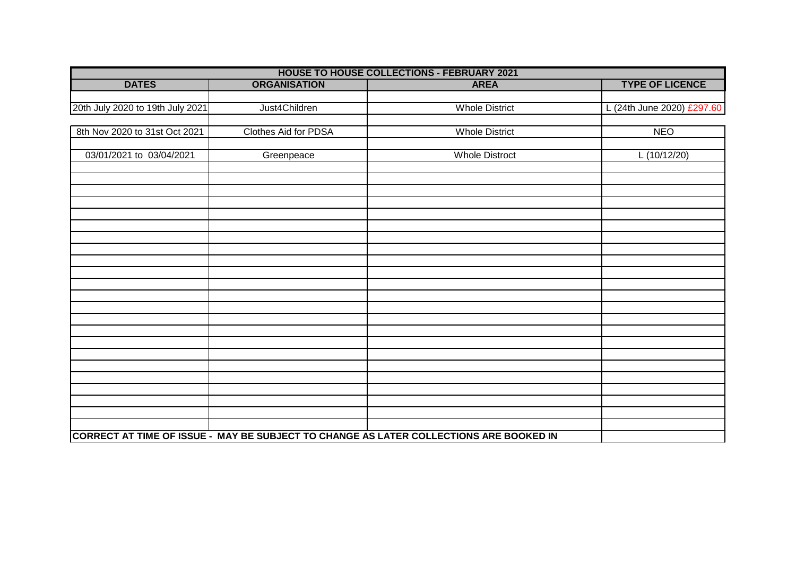| <b>HOUSE TO HOUSE COLLECTIONS - FEBRUARY 2021</b> |                      |                                                                                        |                            |
|---------------------------------------------------|----------------------|----------------------------------------------------------------------------------------|----------------------------|
| <b>DATES</b>                                      | <b>ORGANISATION</b>  | <b>AREA</b>                                                                            | <b>TYPE OF LICENCE</b>     |
|                                                   |                      |                                                                                        |                            |
| 20th July 2020 to 19th July 2021                  | Just4Children        | <b>Whole District</b>                                                                  | L (24th June 2020) £297.60 |
|                                                   |                      |                                                                                        |                            |
| 8th Nov 2020 to 31st Oct 2021                     | Clothes Aid for PDSA | <b>Whole District</b>                                                                  | <b>NEO</b>                 |
|                                                   |                      |                                                                                        |                            |
| 03/01/2021 to 03/04/2021                          | Greenpeace           | <b>Whole Distroct</b>                                                                  | L(10/12/20)                |
|                                                   |                      |                                                                                        |                            |
|                                                   |                      |                                                                                        |                            |
|                                                   |                      |                                                                                        |                            |
|                                                   |                      |                                                                                        |                            |
|                                                   |                      |                                                                                        |                            |
|                                                   |                      |                                                                                        |                            |
|                                                   |                      |                                                                                        |                            |
|                                                   |                      |                                                                                        |                            |
|                                                   |                      |                                                                                        |                            |
|                                                   |                      |                                                                                        |                            |
|                                                   |                      |                                                                                        |                            |
|                                                   |                      |                                                                                        |                            |
|                                                   |                      |                                                                                        |                            |
|                                                   |                      |                                                                                        |                            |
|                                                   |                      |                                                                                        |                            |
|                                                   |                      |                                                                                        |                            |
|                                                   |                      |                                                                                        |                            |
|                                                   |                      |                                                                                        |                            |
|                                                   |                      |                                                                                        |                            |
|                                                   |                      |                                                                                        |                            |
|                                                   |                      |                                                                                        |                            |
|                                                   |                      |                                                                                        |                            |
|                                                   |                      | CORRECT AT TIME OF ISSUE - MAY BE SUBJECT TO CHANGE AS LATER COLLECTIONS ARE BOOKED IN |                            |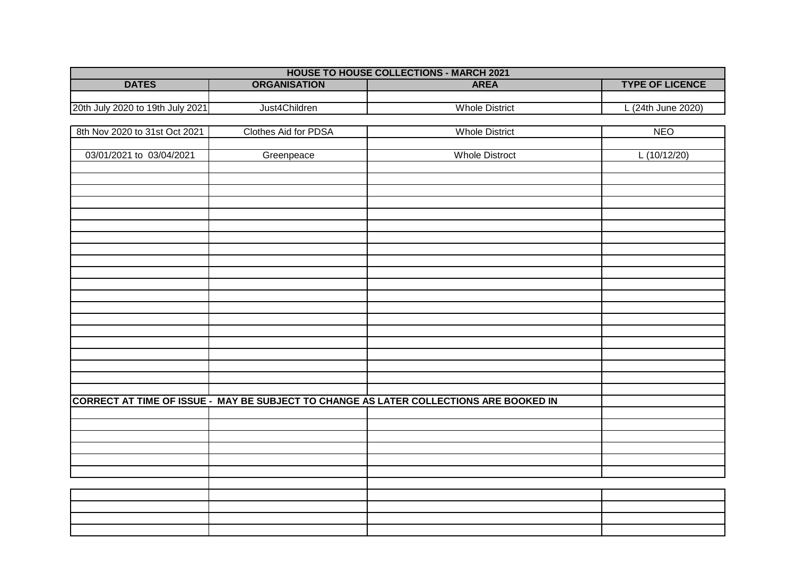| <b>HOUSE TO HOUSE COLLECTIONS - MARCH 2021</b> |                      |                                                                                        |                        |
|------------------------------------------------|----------------------|----------------------------------------------------------------------------------------|------------------------|
| <b>DATES</b>                                   | <b>ORGANISATION</b>  | <b>AREA</b>                                                                            | <b>TYPE OF LICENCE</b> |
|                                                |                      |                                                                                        |                        |
| 20th July 2020 to 19th July 2021               | Just4Children        | <b>Whole District</b>                                                                  | L (24th June 2020)     |
|                                                |                      |                                                                                        |                        |
| 8th Nov 2020 to 31st Oct 2021                  | Clothes Aid for PDSA | <b>Whole District</b>                                                                  | <b>NEO</b>             |
|                                                |                      |                                                                                        |                        |
| 03/01/2021 to 03/04/2021                       | Greenpeace           | <b>Whole Distroct</b>                                                                  | L(10/12/20)            |
|                                                |                      |                                                                                        |                        |
|                                                |                      |                                                                                        |                        |
|                                                |                      |                                                                                        |                        |
|                                                |                      |                                                                                        |                        |
|                                                |                      |                                                                                        |                        |
|                                                |                      |                                                                                        |                        |
|                                                |                      |                                                                                        |                        |
|                                                |                      |                                                                                        |                        |
|                                                |                      |                                                                                        |                        |
|                                                |                      |                                                                                        |                        |
|                                                |                      |                                                                                        |                        |
|                                                |                      |                                                                                        |                        |
|                                                |                      |                                                                                        |                        |
|                                                |                      |                                                                                        |                        |
|                                                |                      |                                                                                        |                        |
|                                                |                      |                                                                                        |                        |
|                                                |                      |                                                                                        |                        |
|                                                |                      |                                                                                        |                        |
|                                                |                      |                                                                                        |                        |
|                                                |                      | CORRECT AT TIME OF ISSUE - MAY BE SUBJECT TO CHANGE AS LATER COLLECTIONS ARE BOOKED IN |                        |
|                                                |                      |                                                                                        |                        |
|                                                |                      |                                                                                        |                        |
|                                                |                      |                                                                                        |                        |
|                                                |                      |                                                                                        |                        |
|                                                |                      |                                                                                        |                        |
|                                                |                      |                                                                                        |                        |
|                                                |                      |                                                                                        |                        |
|                                                |                      |                                                                                        |                        |
|                                                |                      |                                                                                        |                        |
|                                                |                      |                                                                                        |                        |
|                                                |                      |                                                                                        |                        |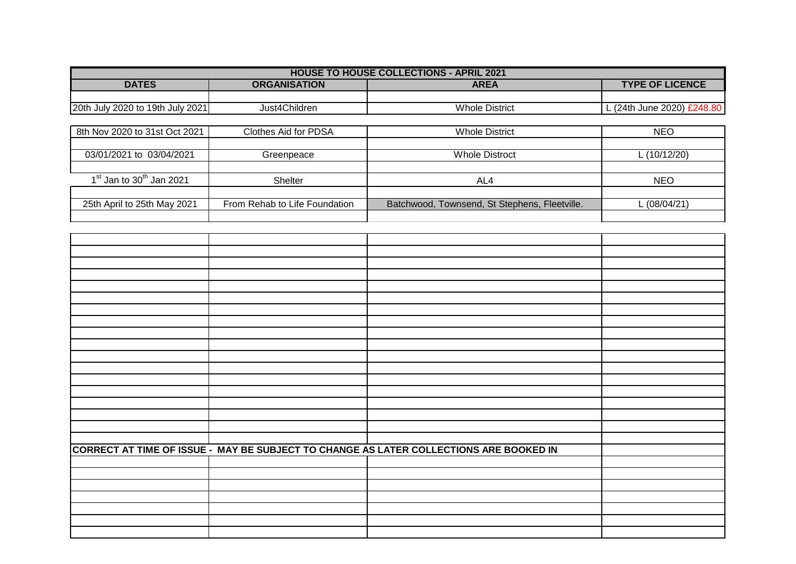| <b>HOUSE TO HOUSE COLLECTIONS - APRIL 2021</b> |                               |                                               |                            |  |
|------------------------------------------------|-------------------------------|-----------------------------------------------|----------------------------|--|
| <b>DATES</b>                                   | <b>ORGANISATION</b>           | <b>AREA</b>                                   | <b>TYPE OF LICENCE</b>     |  |
|                                                |                               |                                               |                            |  |
| 20th July 2020 to 19th July 2021               | Just4Children                 | <b>Whole District</b>                         | L (24th June 2020) £248.80 |  |
|                                                |                               |                                               |                            |  |
| 8th Nov 2020 to 31st Oct 2021                  | <b>Clothes Aid for PDSA</b>   | <b>Whole District</b>                         | <b>NEO</b>                 |  |
|                                                |                               |                                               |                            |  |
| 03/01/2021 to 03/04/2021                       | Greenpeace                    | <b>Whole Distroct</b>                         | L (10/12/20)               |  |
|                                                |                               |                                               |                            |  |
| $1st$ Jan to $30th$ Jan 2021                   | Shelter                       | AL4                                           | <b>NEO</b>                 |  |
|                                                |                               |                                               |                            |  |
| 25th April to 25th May 2021                    | From Rehab to Life Foundation | Batchwood, Townsend, St Stephens, Fleetville. | L (08/04/21)               |  |
|                                                |                               |                                               |                            |  |

|  | CORRECT AT TIME OF ISSUE - MAY BE SUBJECT TO CHANGE AS LATER COLLECTIONS ARE BOOKED IN |  |
|--|----------------------------------------------------------------------------------------|--|
|  |                                                                                        |  |
|  |                                                                                        |  |
|  |                                                                                        |  |
|  |                                                                                        |  |
|  |                                                                                        |  |
|  |                                                                                        |  |
|  |                                                                                        |  |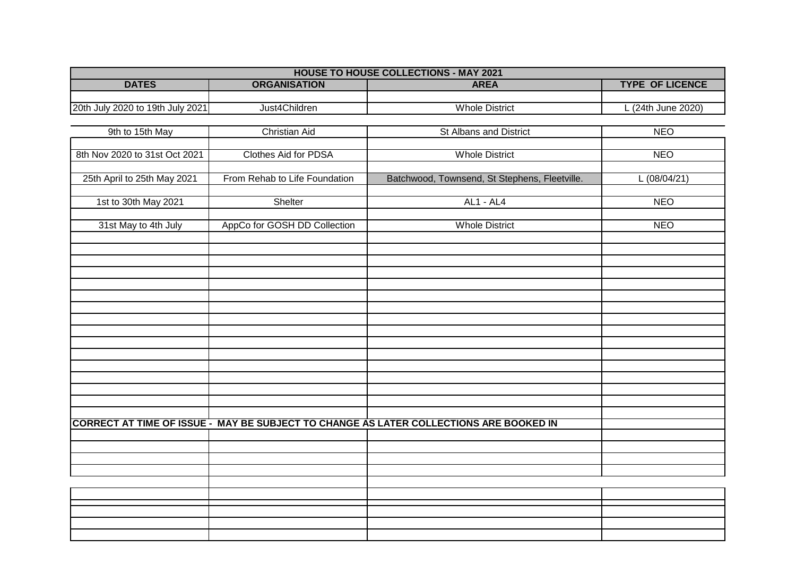| <b>HOUSE TO HOUSE COLLECTIONS - MAY 2021</b> |                               |                                                                                        |                        |  |
|----------------------------------------------|-------------------------------|----------------------------------------------------------------------------------------|------------------------|--|
| <b>DATES</b>                                 | <b>ORGANISATION</b>           | <b>AREA</b>                                                                            | <b>TYPE OF LICENCE</b> |  |
|                                              |                               |                                                                                        |                        |  |
| 20th July 2020 to 19th July 2021             | Just4Children                 | <b>Whole District</b>                                                                  | L (24th June 2020)     |  |
|                                              |                               |                                                                                        |                        |  |
| 9th to 15th May                              | <b>Christian Aid</b>          | <b>St Albans and District</b>                                                          | <b>NEO</b>             |  |
| 8th Nov 2020 to 31st Oct 2021                | <b>Clothes Aid for PDSA</b>   | <b>Whole District</b>                                                                  | <b>NEO</b>             |  |
|                                              |                               |                                                                                        |                        |  |
| 25th April to 25th May 2021                  | From Rehab to Life Foundation | Batchwood, Townsend, St Stephens, Fleetville.                                          | L(08/04/21)            |  |
|                                              |                               |                                                                                        |                        |  |
| 1st to 30th May 2021                         | Shelter                       | <b>AL1 - AL4</b>                                                                       | <b>NEO</b>             |  |
|                                              |                               |                                                                                        |                        |  |
| 31st May to 4th July                         | AppCo for GOSH DD Collection  | <b>Whole District</b>                                                                  | <b>NEO</b>             |  |
|                                              |                               |                                                                                        |                        |  |
|                                              |                               |                                                                                        |                        |  |
|                                              |                               |                                                                                        |                        |  |
|                                              |                               |                                                                                        |                        |  |
|                                              |                               |                                                                                        |                        |  |
|                                              |                               |                                                                                        |                        |  |
|                                              |                               |                                                                                        |                        |  |
|                                              |                               |                                                                                        |                        |  |
|                                              |                               |                                                                                        |                        |  |
|                                              |                               |                                                                                        |                        |  |
|                                              |                               |                                                                                        |                        |  |
|                                              |                               |                                                                                        |                        |  |
|                                              |                               |                                                                                        |                        |  |
|                                              |                               |                                                                                        |                        |  |
|                                              |                               | CORRECT AT TIME OF ISSUE - MAY BE SUBJECT TO CHANGE AS LATER COLLECTIONS ARE BOOKED IN |                        |  |
|                                              |                               |                                                                                        |                        |  |
|                                              |                               |                                                                                        |                        |  |
|                                              |                               |                                                                                        |                        |  |
|                                              |                               |                                                                                        |                        |  |
|                                              |                               |                                                                                        |                        |  |
|                                              |                               |                                                                                        |                        |  |
|                                              |                               |                                                                                        |                        |  |
|                                              |                               |                                                                                        |                        |  |
|                                              |                               |                                                                                        |                        |  |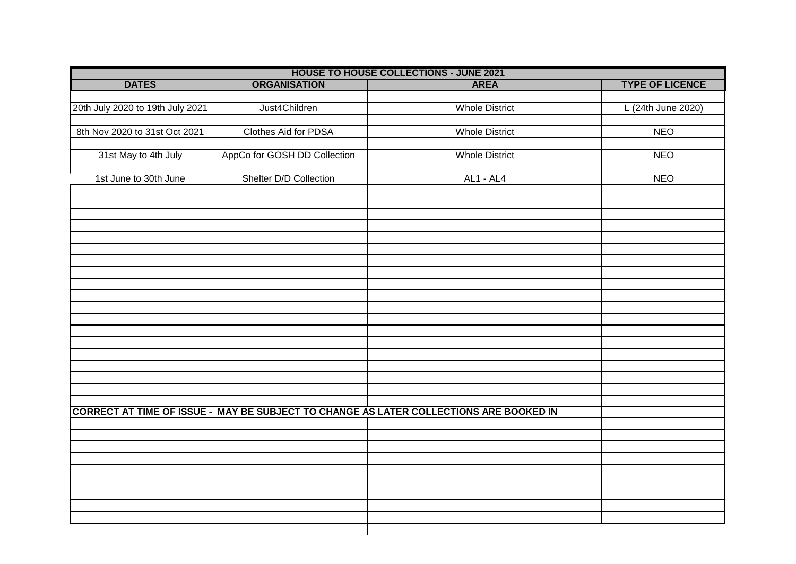| <b>HOUSE TO HOUSE COLLECTIONS - JUNE 2021</b> |                              |                                                                                        |                        |
|-----------------------------------------------|------------------------------|----------------------------------------------------------------------------------------|------------------------|
| <b>DATES</b>                                  | <b>ORGANISATION</b>          | <b>AREA</b>                                                                            | <b>TYPE OF LICENCE</b> |
|                                               |                              |                                                                                        |                        |
| 20th July 2020 to 19th July 2021              | Just4Children                | <b>Whole District</b>                                                                  | L (24th June 2020)     |
|                                               |                              |                                                                                        |                        |
| 8th Nov 2020 to 31st Oct 2021                 | Clothes Aid for PDSA         | <b>Whole District</b>                                                                  | <b>NEO</b>             |
|                                               |                              |                                                                                        |                        |
| 31st May to 4th July                          | AppCo for GOSH DD Collection | <b>Whole District</b>                                                                  | <b>NEO</b>             |
|                                               |                              |                                                                                        |                        |
| 1st June to 30th June                         | Shelter D/D Collection       | <b>AL1 - AL4</b>                                                                       | <b>NEO</b>             |
|                                               |                              |                                                                                        |                        |
|                                               |                              |                                                                                        |                        |
|                                               |                              |                                                                                        |                        |
|                                               |                              |                                                                                        |                        |
|                                               |                              |                                                                                        |                        |
|                                               |                              |                                                                                        |                        |
|                                               |                              |                                                                                        |                        |
|                                               |                              |                                                                                        |                        |
|                                               |                              |                                                                                        |                        |
|                                               |                              |                                                                                        |                        |
|                                               |                              |                                                                                        |                        |
|                                               |                              |                                                                                        |                        |
|                                               |                              |                                                                                        |                        |
|                                               |                              |                                                                                        |                        |
|                                               |                              |                                                                                        |                        |
|                                               |                              |                                                                                        |                        |
|                                               |                              |                                                                                        |                        |
|                                               |                              |                                                                                        |                        |
|                                               |                              | CORRECT AT TIME OF ISSUE - MAY BE SUBJECT TO CHANGE AS LATER COLLECTIONS ARE BOOKED IN |                        |
|                                               |                              |                                                                                        |                        |
|                                               |                              |                                                                                        |                        |
|                                               |                              |                                                                                        |                        |
|                                               |                              |                                                                                        |                        |
|                                               |                              |                                                                                        |                        |
|                                               |                              |                                                                                        |                        |
|                                               |                              |                                                                                        |                        |
|                                               |                              |                                                                                        |                        |
|                                               |                              |                                                                                        |                        |
|                                               |                              |                                                                                        |                        |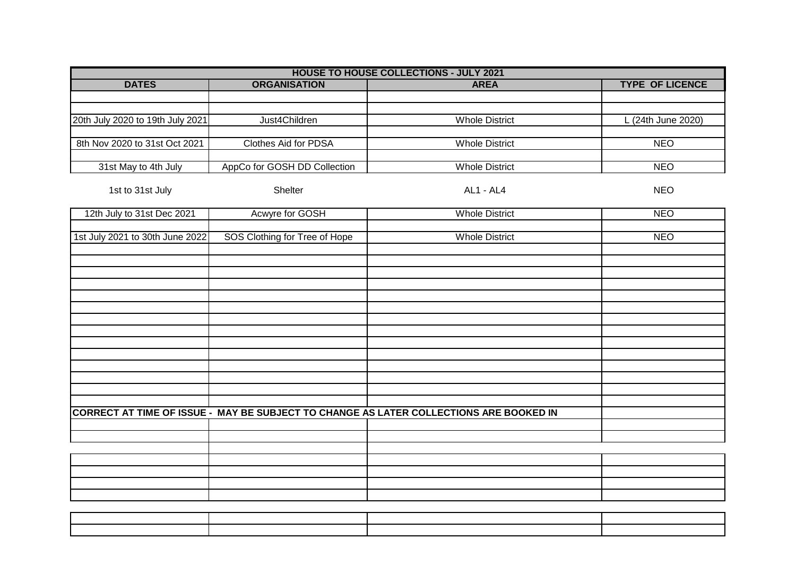| <b>HOUSE TO HOUSE COLLECTIONS - JULY 2021</b> |                               |                                                                                        |                        |
|-----------------------------------------------|-------------------------------|----------------------------------------------------------------------------------------|------------------------|
| <b>DATES</b>                                  | <b>ORGANISATION</b>           | <b>AREA</b>                                                                            | <b>TYPE OF LICENCE</b> |
|                                               |                               |                                                                                        |                        |
|                                               |                               |                                                                                        |                        |
| 20th July 2020 to 19th July 2021              | Just4Children                 | <b>Whole District</b>                                                                  | L (24th June 2020)     |
|                                               |                               |                                                                                        |                        |
| 8th Nov 2020 to 31st Oct 2021                 | Clothes Aid for PDSA          | <b>Whole District</b>                                                                  | <b>NEO</b>             |
|                                               |                               |                                                                                        |                        |
| 31st May to 4th July                          | AppCo for GOSH DD Collection  | <b>Whole District</b>                                                                  | <b>NEO</b>             |
| 1st to 31st July                              | Shelter                       | AL1 - AL4                                                                              | <b>NEO</b>             |
| 12th July to 31st Dec 2021                    | Acwyre for GOSH               | <b>Whole District</b>                                                                  | <b>NEO</b>             |
|                                               |                               |                                                                                        |                        |
| 1st July 2021 to 30th June 2022               | SOS Clothing for Tree of Hope | <b>Whole District</b>                                                                  | <b>NEO</b>             |
|                                               |                               |                                                                                        |                        |
|                                               |                               |                                                                                        |                        |
|                                               |                               |                                                                                        |                        |
|                                               |                               |                                                                                        |                        |
|                                               |                               |                                                                                        |                        |
|                                               |                               |                                                                                        |                        |
|                                               |                               |                                                                                        |                        |
|                                               |                               |                                                                                        |                        |
|                                               |                               |                                                                                        |                        |
|                                               |                               |                                                                                        |                        |
|                                               |                               |                                                                                        |                        |
|                                               |                               |                                                                                        |                        |
|                                               |                               |                                                                                        |                        |
|                                               |                               | CORRECT AT TIME OF ISSUE - MAY BE SUBJECT TO CHANGE AS LATER COLLECTIONS ARE BOOKED IN |                        |
|                                               |                               |                                                                                        |                        |
|                                               |                               |                                                                                        |                        |
|                                               |                               |                                                                                        |                        |
|                                               |                               |                                                                                        |                        |
|                                               |                               |                                                                                        |                        |
|                                               |                               |                                                                                        |                        |
|                                               |                               |                                                                                        |                        |
|                                               |                               |                                                                                        |                        |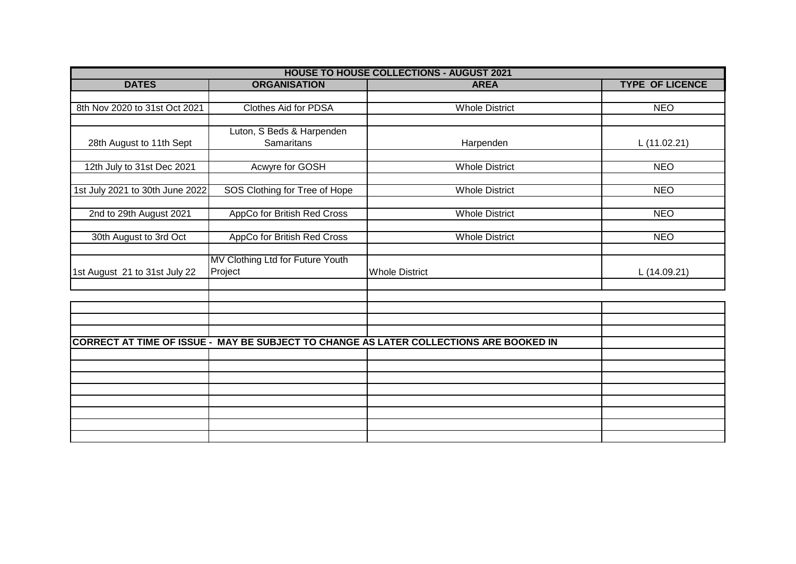| <b>HOUSE TO HOUSE COLLECTIONS - AUGUST 2021</b> |                                  |                                                                                        |                        |
|-------------------------------------------------|----------------------------------|----------------------------------------------------------------------------------------|------------------------|
| <b>DATES</b>                                    | <b>ORGANISATION</b>              | <b>AREA</b>                                                                            | <b>TYPE OF LICENCE</b> |
|                                                 |                                  |                                                                                        |                        |
| 8th Nov 2020 to 31st Oct 2021                   | <b>Clothes Aid for PDSA</b>      | <b>Whole District</b>                                                                  | <b>NEO</b>             |
|                                                 |                                  |                                                                                        |                        |
|                                                 | Luton, S Beds & Harpenden        |                                                                                        |                        |
| 28th August to 11th Sept                        | <b>Samaritans</b>                | Harpenden                                                                              | L(11.02.21)            |
|                                                 |                                  |                                                                                        |                        |
| 12th July to 31st Dec 2021                      | Acwyre for GOSH                  | <b>Whole District</b>                                                                  | <b>NEO</b>             |
|                                                 |                                  |                                                                                        |                        |
| 1st July 2021 to 30th June 2022                 | SOS Clothing for Tree of Hope    | <b>Whole District</b>                                                                  | <b>NEO</b>             |
|                                                 |                                  |                                                                                        |                        |
| 2nd to 29th August 2021                         | AppCo for British Red Cross      | <b>Whole District</b>                                                                  | <b>NEO</b>             |
|                                                 | AppCo for British Red Cross      | <b>Whole District</b>                                                                  | <b>NEO</b>             |
| 30th August to 3rd Oct                          |                                  |                                                                                        |                        |
|                                                 | MV Clothing Ltd for Future Youth |                                                                                        |                        |
| 1st August 21 to 31st July 22                   | Project                          | <b>Whole District</b>                                                                  | L (14.09.21)           |
|                                                 |                                  |                                                                                        |                        |
|                                                 |                                  |                                                                                        |                        |
|                                                 |                                  |                                                                                        |                        |
|                                                 |                                  |                                                                                        |                        |
|                                                 |                                  |                                                                                        |                        |
|                                                 |                                  | CORRECT AT TIME OF ISSUE - MAY BE SUBJECT TO CHANGE AS LATER COLLECTIONS ARE BOOKED IN |                        |
|                                                 |                                  |                                                                                        |                        |
|                                                 |                                  |                                                                                        |                        |
|                                                 |                                  |                                                                                        |                        |
|                                                 |                                  |                                                                                        |                        |
|                                                 |                                  |                                                                                        |                        |
|                                                 |                                  |                                                                                        |                        |
|                                                 |                                  |                                                                                        |                        |
|                                                 |                                  |                                                                                        |                        |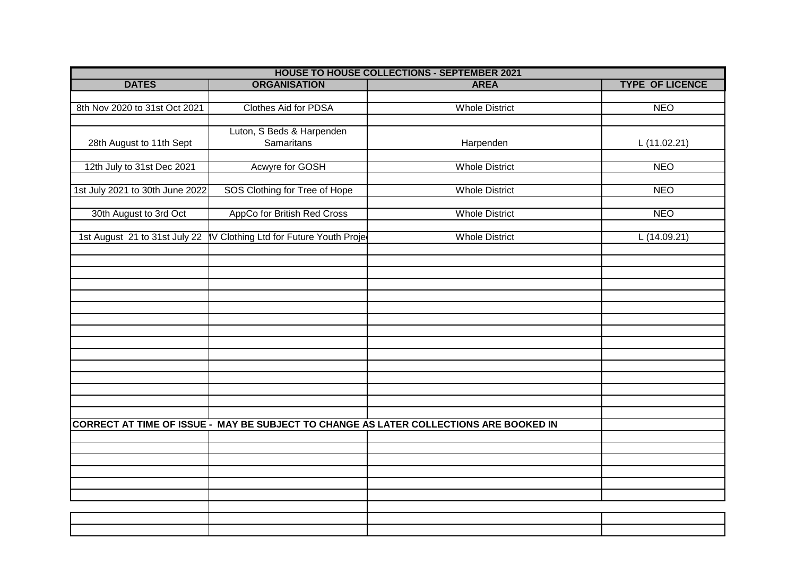| <b>HOUSE TO HOUSE COLLECTIONS - SEPTEMBER 2021</b> |                                        |                                                                                        |                        |
|----------------------------------------------------|----------------------------------------|----------------------------------------------------------------------------------------|------------------------|
| <b>DATES</b>                                       | <b>ORGANISATION</b>                    | <b>AREA</b>                                                                            | <b>TYPE OF LICENCE</b> |
|                                                    |                                        |                                                                                        |                        |
| 8th Nov 2020 to 31st Oct 2021                      | Clothes Aid for PDSA                   | <b>Whole District</b>                                                                  | <b>NEO</b>             |
|                                                    |                                        |                                                                                        |                        |
|                                                    | Luton, S Beds & Harpenden              |                                                                                        |                        |
| 28th August to 11th Sept                           | <b>Samaritans</b>                      | Harpenden                                                                              | L(11.02.21)            |
|                                                    |                                        |                                                                                        |                        |
| 12th July to 31st Dec 2021                         | Acwyre for GOSH                        | <b>Whole District</b>                                                                  | <b>NEO</b>             |
|                                                    |                                        |                                                                                        |                        |
| 1st July 2021 to 30th June 2022                    | SOS Clothing for Tree of Hope          | <b>Whole District</b>                                                                  | <b>NEO</b>             |
|                                                    |                                        |                                                                                        |                        |
| 30th August to 3rd Oct                             | AppCo for British Red Cross            | <b>Whole District</b>                                                                  | <b>NEO</b>             |
|                                                    |                                        |                                                                                        |                        |
| 1st August 21 to 31st July 22                      | IV Clothing Ltd for Future Youth Proje | <b>Whole District</b>                                                                  | L(14.09.21)            |
|                                                    |                                        |                                                                                        |                        |
|                                                    |                                        |                                                                                        |                        |
|                                                    |                                        |                                                                                        |                        |
|                                                    |                                        |                                                                                        |                        |
|                                                    |                                        |                                                                                        |                        |
|                                                    |                                        |                                                                                        |                        |
|                                                    |                                        |                                                                                        |                        |
|                                                    |                                        |                                                                                        |                        |
|                                                    |                                        |                                                                                        |                        |
|                                                    |                                        |                                                                                        |                        |
|                                                    |                                        |                                                                                        |                        |
|                                                    |                                        |                                                                                        |                        |
|                                                    |                                        |                                                                                        |                        |
|                                                    |                                        |                                                                                        |                        |
|                                                    |                                        |                                                                                        |                        |
|                                                    |                                        | CORRECT AT TIME OF ISSUE - MAY BE SUBJECT TO CHANGE AS LATER COLLECTIONS ARE BOOKED IN |                        |
|                                                    |                                        |                                                                                        |                        |
|                                                    |                                        |                                                                                        |                        |
|                                                    |                                        |                                                                                        |                        |
|                                                    |                                        |                                                                                        |                        |
|                                                    |                                        |                                                                                        |                        |
|                                                    |                                        |                                                                                        |                        |
|                                                    |                                        |                                                                                        |                        |
|                                                    |                                        |                                                                                        |                        |
|                                                    |                                        |                                                                                        |                        |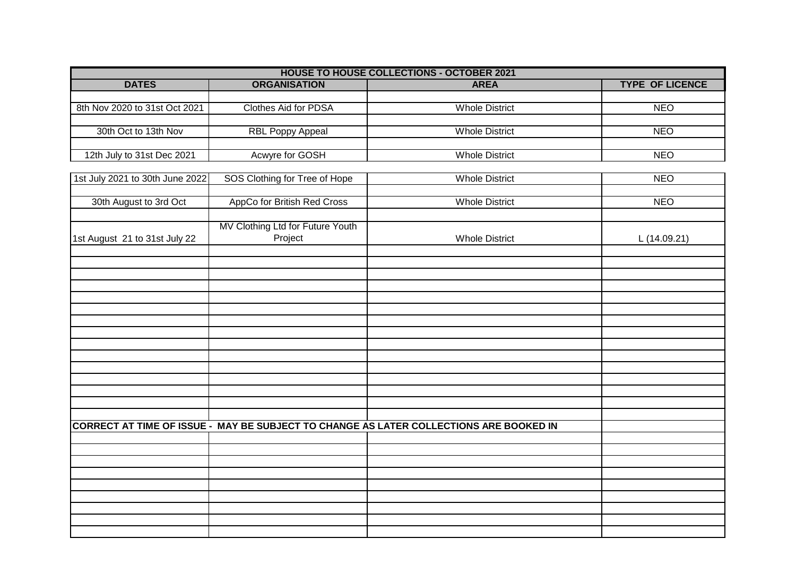| <b>HOUSE TO HOUSE COLLECTIONS - OCTOBER 2021</b> |                                  |                                                                                        |                        |  |
|--------------------------------------------------|----------------------------------|----------------------------------------------------------------------------------------|------------------------|--|
| <b>DATES</b>                                     | <b>ORGANISATION</b>              | <b>AREA</b>                                                                            | <b>TYPE OF LICENCE</b> |  |
|                                                  |                                  |                                                                                        |                        |  |
| 8th Nov 2020 to 31st Oct 2021                    | Clothes Aid for PDSA             | <b>Whole District</b>                                                                  | <b>NEO</b>             |  |
|                                                  |                                  |                                                                                        |                        |  |
| 30th Oct to 13th Nov                             | <b>RBL Poppy Appeal</b>          | <b>Whole District</b>                                                                  | <b>NEO</b>             |  |
|                                                  |                                  | <b>Whole District</b>                                                                  | <b>NEO</b>             |  |
| 12th July to 31st Dec 2021                       | Acwyre for GOSH                  |                                                                                        |                        |  |
| 1st July 2021 to 30th June 2022                  | SOS Clothing for Tree of Hope    | <b>Whole District</b>                                                                  | <b>NEO</b>             |  |
|                                                  |                                  |                                                                                        |                        |  |
| 30th August to 3rd Oct                           | AppCo for British Red Cross      | <b>Whole District</b>                                                                  | <b>NEO</b>             |  |
|                                                  |                                  |                                                                                        |                        |  |
|                                                  | MV Clothing Ltd for Future Youth |                                                                                        |                        |  |
| 1st August 21 to 31st July 22                    | Project                          | <b>Whole District</b>                                                                  | L (14.09.21)           |  |
|                                                  |                                  |                                                                                        |                        |  |
|                                                  |                                  |                                                                                        |                        |  |
|                                                  |                                  |                                                                                        |                        |  |
|                                                  |                                  |                                                                                        |                        |  |
|                                                  |                                  |                                                                                        |                        |  |
|                                                  |                                  |                                                                                        |                        |  |
|                                                  |                                  |                                                                                        |                        |  |
|                                                  |                                  |                                                                                        |                        |  |
|                                                  |                                  |                                                                                        |                        |  |
|                                                  |                                  |                                                                                        |                        |  |
|                                                  |                                  |                                                                                        |                        |  |
|                                                  |                                  |                                                                                        |                        |  |
|                                                  |                                  |                                                                                        |                        |  |
|                                                  |                                  |                                                                                        |                        |  |
|                                                  |                                  | CORRECT AT TIME OF ISSUE - MAY BE SUBJECT TO CHANGE AS LATER COLLECTIONS ARE BOOKED IN |                        |  |
|                                                  |                                  |                                                                                        |                        |  |
|                                                  |                                  |                                                                                        |                        |  |
|                                                  |                                  |                                                                                        |                        |  |
|                                                  |                                  |                                                                                        |                        |  |
|                                                  |                                  |                                                                                        |                        |  |
|                                                  |                                  |                                                                                        |                        |  |
|                                                  |                                  |                                                                                        |                        |  |
|                                                  |                                  |                                                                                        |                        |  |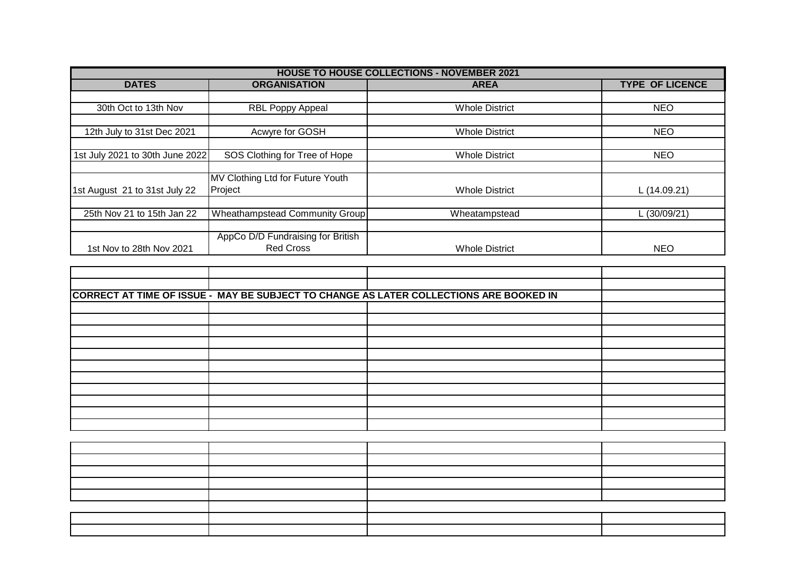| <b>HOUSE TO HOUSE COLLECTIONS - NOVEMBER 2021</b> |                                   |                       |                        |  |  |
|---------------------------------------------------|-----------------------------------|-----------------------|------------------------|--|--|
| <b>DATES</b>                                      | <b>ORGANISATION</b>               | <b>AREA</b>           | <b>TYPE OF LICENCE</b> |  |  |
|                                                   |                                   |                       |                        |  |  |
| 30th Oct to 13th Nov                              | <b>RBL Poppy Appeal</b>           | <b>Whole District</b> | <b>NEO</b>             |  |  |
|                                                   |                                   |                       |                        |  |  |
| 12th July to 31st Dec 2021                        | Acwyre for GOSH                   | <b>Whole District</b> | <b>NEO</b>             |  |  |
|                                                   |                                   |                       |                        |  |  |
| 1st July 2021 to 30th June 2022                   | SOS Clothing for Tree of Hope     | <b>Whole District</b> | <b>NEO</b>             |  |  |
|                                                   |                                   |                       |                        |  |  |
|                                                   | MV Clothing Ltd for Future Youth  |                       |                        |  |  |
| 1st August 21 to 31st July 22                     | Project                           | <b>Whole District</b> | L (14.09.21)           |  |  |
|                                                   |                                   |                       |                        |  |  |
| 25th Nov 21 to 15th Jan 22                        | Wheathampstead Community Group    | Wheatampstead         | L (30/09/21)           |  |  |
|                                                   |                                   |                       |                        |  |  |
|                                                   | AppCo D/D Fundraising for British |                       |                        |  |  |
| 1st Nov to 28th Nov 2021                          | <b>Red Cross</b>                  | <b>Whole District</b> | <b>NEO</b>             |  |  |

| CORRECT AT TIME OF ISSUE - MAY BE SUBJECT TO CHANGE AS LATER COLLECTIONS ARE BOOKED IN |  |  |  |  |  |
|----------------------------------------------------------------------------------------|--|--|--|--|--|
|                                                                                        |  |  |  |  |  |
|                                                                                        |  |  |  |  |  |
|                                                                                        |  |  |  |  |  |
|                                                                                        |  |  |  |  |  |
|                                                                                        |  |  |  |  |  |
|                                                                                        |  |  |  |  |  |
|                                                                                        |  |  |  |  |  |
|                                                                                        |  |  |  |  |  |
|                                                                                        |  |  |  |  |  |
|                                                                                        |  |  |  |  |  |
|                                                                                        |  |  |  |  |  |
|                                                                                        |  |  |  |  |  |